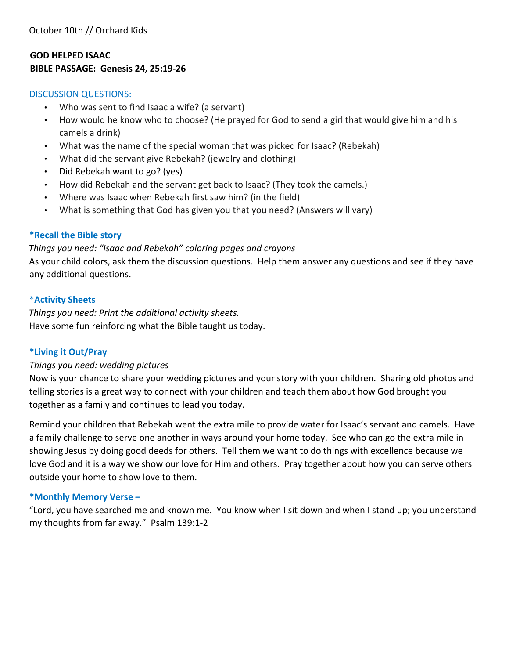#### **GOD HELPED ISAAC BIBLE PASSAGE: Genesis 24, 25:19-26**

#### DISCUSSION QUESTIONS:

- Who was sent to find Isaac a wife? (a servant)
- How would he know who to choose? (He prayed for God to send a girl that would give him and his camels a drink)
- What was the name of the special woman that was picked for Isaac? (Rebekah)
- What did the servant give Rebekah? (jewelry and clothing)
- Did Rebekah want to go? (yes)
- How did Rebekah and the servant get back to Isaac? (They took the camels.)
- Where was Isaac when Rebekah first saw him? (in the field)
- What is something that God has given you that you need? (Answers will vary)

#### **\*Recall the Bible story**

#### *Things you need: "Isaac and Rebekah" coloring pages and crayons*

As your child colors, ask them the discussion questions. Help them answer any questions and see if they have any additional questions.

#### \***Activity Sheets**

*Things you need: Print the additional activity sheets.*  Have some fun reinforcing what the Bible taught us today.

#### **\*Living it Out/Pray**

#### *Things you need: wedding pictures*

Now is your chance to share your wedding pictures and your story with your children. Sharing old photos and telling stories is a great way to connect with your children and teach them about how God brought you together as a family and continues to lead you today.

Remind your children that Rebekah went the extra mile to provide water for Isaac's servant and camels. Have a family challenge to serve one another in ways around your home today. See who can go the extra mile in showing Jesus by doing good deeds for others. Tell them we want to do things with excellence because we love God and it is a way we show our love for Him and others. Pray together about how you can serve others outside your home to show love to them.

#### **\*Monthly Memory Verse –**

"Lord, you have searched me and known me. You know when I sit down and when I stand up; you understand my thoughts from far away." Psalm 139:1-2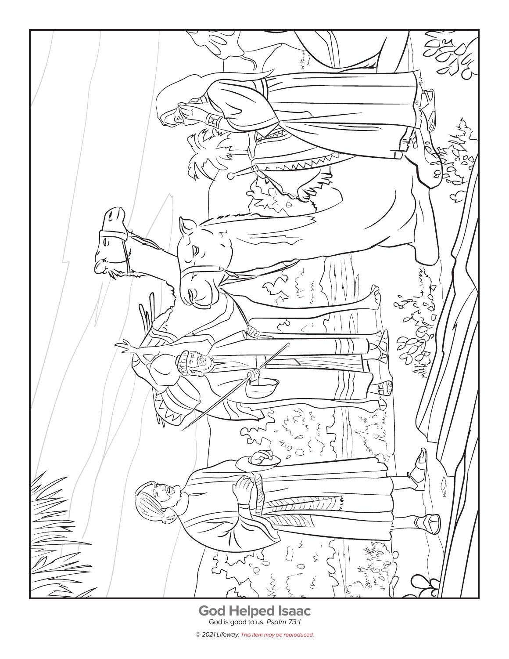

© 2021 Lifeway. This item may be reproduced.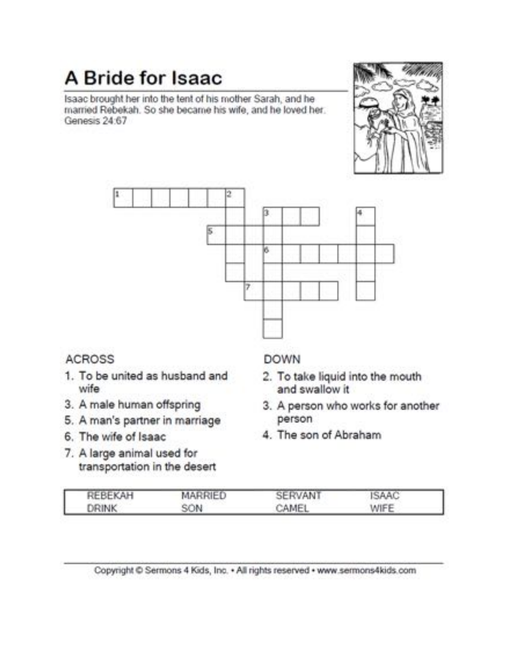## A Bride for Isaac

Isaac brought her into the tent of his mother Sarah, and he married Rebekah. So she became his wife, and he loved her. Genesis 24:67





## **ACROSS**

- 1. To be united as husband and wife
- 3. A male human offspring
- 5. A man's partner in marriage
- 6. The wife of Isaac
- 7. A large animal used for transportation in the desert

### **DOWN**

- 2. To take liquid into the mouth and swallow it
- 3. A person who works for another person
- 4. The son of Abraham

| REBEKAH      | MARRIED | SERVANT | <b>ISAAC</b> |  |
|--------------|---------|---------|--------------|--|
| <b>DRINK</b> | SON     | CAMEL   | WIFE         |  |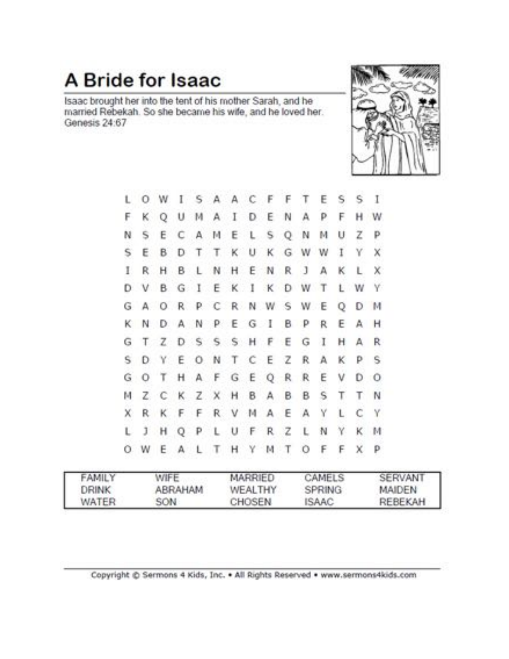# A Bride for Isaac

Isaac brought her into the tent of his mother Sarah, and he married Rebekah. So she became his wife, and he loved her. Genesis 24:67



| υ  |    |  |  |  | O W I S A A C F F T E         |  |    | s   | s              | -1           |  |
|----|----|--|--|--|-------------------------------|--|----|-----|----------------|--------------|--|
| F. |    |  |  |  | K Q U M A I D E N A           |  | P  | F.  |                | H W          |  |
| N  | s. |  |  |  | ECAMELSQN                     |  | м  | U   | z              | р            |  |
| s  |    |  |  |  | E B D T T K U K G W W I       |  |    |     | Y.             | ×            |  |
| L  |    |  |  |  | R H B L N H E N R J A         |  |    |     | K L            | X.           |  |
|    |    |  |  |  | D V B G I E K I K D W T L W Y |  |    |     |                |              |  |
|    |    |  |  |  | G A O R P C R N W S W E Q D M |  |    |     |                |              |  |
|    |    |  |  |  | K N D A N P E G I B P R E A H |  |    |     |                |              |  |
|    |    |  |  |  | G T Z D S S S H F E G I       |  |    |     | H A R          |              |  |
|    |    |  |  |  | S D Y E O N T C E Z R         |  |    | A K | P <sub>S</sub> |              |  |
|    |    |  |  |  | <b>GOTHAFGEQRREV</b>          |  |    |     | $D$ $O$        |              |  |
| м  |    |  |  |  | Z C K Z X H B A B B           |  | s  | т   |                | T N          |  |
| x  |    |  |  |  | R K F F R V M A E A           |  | Y  | L   | C              | Y            |  |
| L. |    |  |  |  | J H Q P L U F R Z L N         |  |    | Y   |                | K M          |  |
|    |    |  |  |  | O W E A L T H Y M T O         |  | F. | F   | x              | $\mathsf{p}$ |  |
|    |    |  |  |  |                               |  |    |     |                |              |  |

| <b>FAMILY</b> | WIFE    | MARRIED | CAMELS       | SERVANT       |
|---------------|---------|---------|--------------|---------------|
| <b>DRINK</b>  | ABRAHAM | WEALTHY | SPRING       | <b>MAIDEN</b> |
| WATER         | SON     | CHOSEN  | <b>ISAAC</b> | REBEKAH       |

Copyright @ Sermons 4 Kids, Inc. . All Rights Reserved . www.sermons4kids.com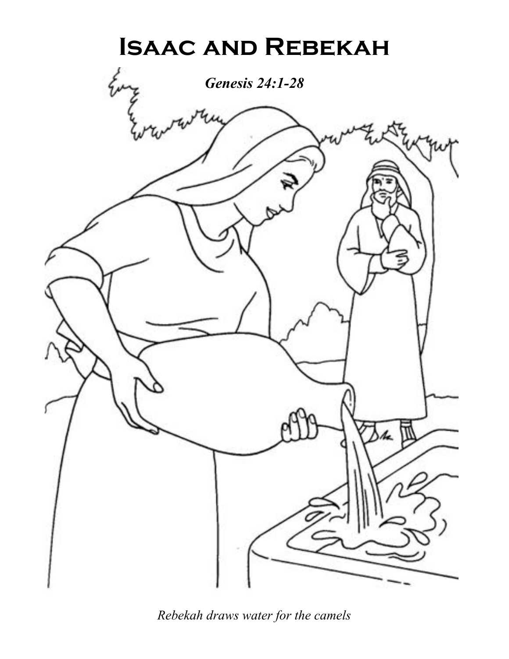

*Rebekah draws water for the camels*